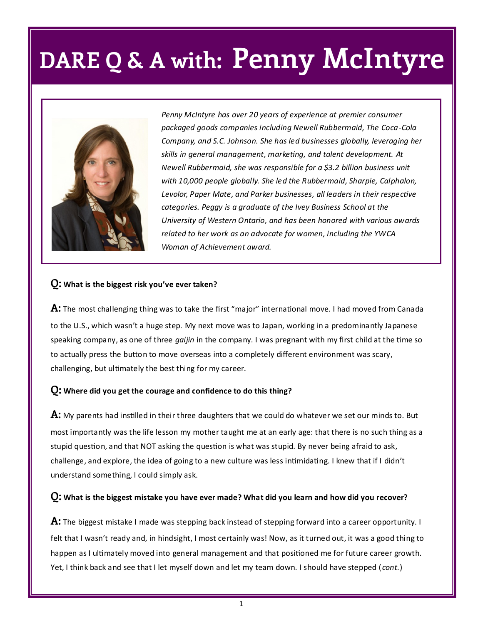# **DARE Q & A with: Penny McIntyre**



*Penny McIntyre has over 20 years of experience at premier consumer packaged goods companies including Newell Rubbermaid, The Coca-Cola Company, and S.C. Johnson. She has led businesses globally, leveraging her skills in general management, marketing, and talent development. At Newell Rubbermaid, she was responsible for a \$3.2 billion business unit with 10,000 people globally. She led the Rubbermaid, Sharpie, Calphalon, Levolor, Paper Mate, and Parker businesses, all leaders in their respective categories. Peggy is a graduate of the Ivey Business School at the University of Western Ontario, and has been honored with various awards related to her work as an advocate for women, including the YWCA Woman of Achievement award.* 

### **Q: What is the biggest risk you've ever taken?**

**A:** The most challenging thing was to take the first "major" international move. I had moved from Canada to the U.S., which wasn't a huge step. My next move was to Japan, working in a predominantly Japanese speaking company, as one of three *gaijin* in the company. I was pregnant with my first child at the time so to actually press the button to move overseas into a completely different environment was scary, challenging, but ultimately the best thing for my career.

### **Q: Where did you get the courage and confidence to do this thing?**

**A:** My parents had instilled in their three daughters that we could do whatever we set our minds to. But most importantly was the life lesson my mother taught me at an early age: that there is no such thing as a stupid question, and that NOT asking the question is what was stupid. By never being afraid to ask, challenge, and explore, the idea of going to a new culture was less intimidating. I knew that if I didn't understand something, I could simply ask.

### **Q: What is the biggest mistake you have ever made? What did you learn and how did you recover?**

**A:** The biggest mistake I made was stepping back instead of stepping forward into a career opportunity. I felt that I wasn't ready and, in hindsight, I most certainly was! Now, as it turned out, it was a good thing to happen as I ultimately moved into general management and that positioned me for future career growth. Yet, I think back and see that I let myself down and let my team down. I should have stepped (*cont.*)